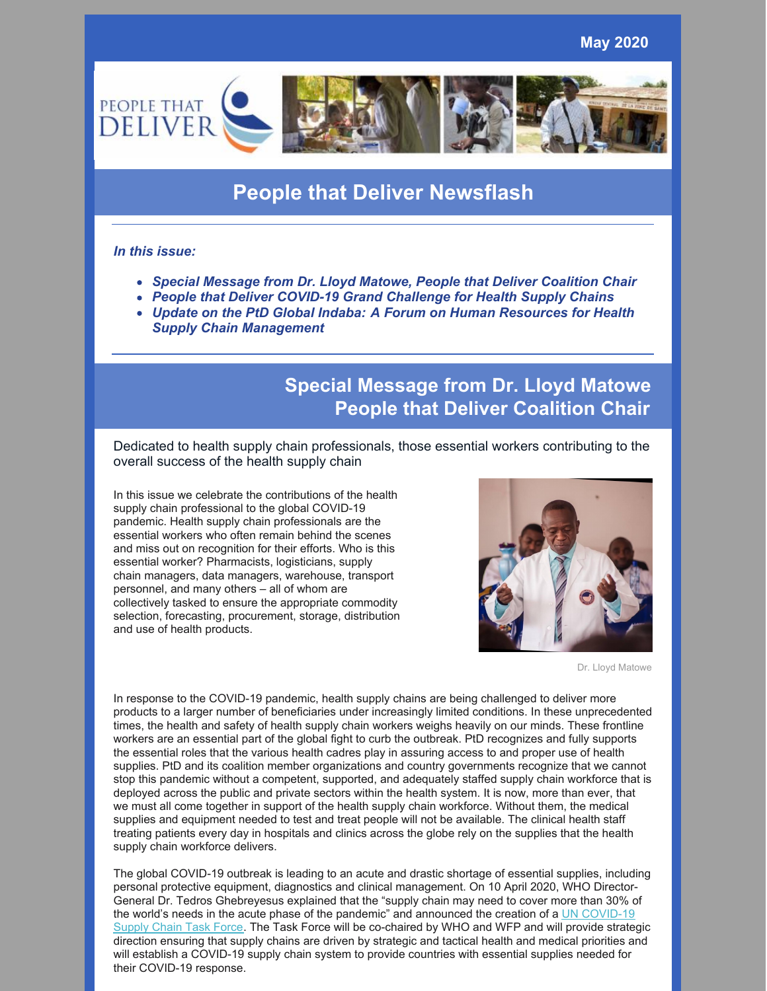

# **People that Deliver Newsflash**

#### *In this issue:*

- *Special Message from Dr. Lloyd Matowe, People that Deliver Coalition Chair*
- *People that Deliver COVID-19 Grand Challenge for Health Supply Chains*
- *Update on the PtD Global Indaba: A Forum on Human Resources for Health Supply Chain Management*

## **Special Message from Dr. Lloyd Matowe People that Deliver Coalition Chair**

Dedicated to health supply chain professionals, those essential workers contributing to the overall success of the health supply chain

In this issue we celebrate the contributions of the health supply chain professional to the global COVID-19 pandemic. Health supply chain professionals are the essential workers who often remain behind the scenes and miss out on recognition for their efforts. Who is this essential worker? Pharmacists, logisticians, supply chain managers, data managers, warehouse, transport personnel, and many others – all of whom are collectively tasked to ensure the appropriate commodity selection, forecasting, procurement, storage, distribution and use of health products.



Dr. Lloyd Matowe

In response to the COVID-19 pandemic, health supply chains are being challenged to deliver more products to a larger number of beneficiaries under increasingly limited conditions. In these unprecedented times, the health and safety of health supply chain workers weighs heavily on our minds. These frontline workers are an essential part of the global fight to curb the outbreak. PtD recognizes and fully supports the essential roles that the various health cadres play in assuring access to and proper use of health supplies. PtD and its coalition member organizations and country governments recognize that we cannot stop this pandemic without a competent, supported, and adequately staffed supply chain workforce that is deployed across the public and private sectors within the health system. It is now, more than ever, that we must all come together in support of the health supply chain workforce. Without them, the medical supplies and equipment needed to test and treat people will not be available. The clinical health staff treating patients every day in hospitals and clinics across the globe rely on the supplies that the health supply chain workforce delivers.

The global COVID-19 outbreak is leading to an acute and drastic shortage of essential supplies, including personal protective equipment, diagnostics and clinical management. On 10 April 2020, WHO Director-General Dr. Tedros Ghebreyesus explained that the "supply chain may need to cover more than 30% of the world's needs in the acute phase of the pandemic" and [announced](https://www.who.int/who-documents-detail/covid-19-supply-chain-system-requesting-and-receiving-supplies) the creation of a UN COVID-19 Supply Chain Task Force. The Task Force will be co-chaired by WHO and WFP and will provide strategic direction ensuring that supply chains are driven by strategic and tactical health and medical priorities and will establish a COVID-19 supply chain system to provide countries with essential supplies needed for their COVID-19 response.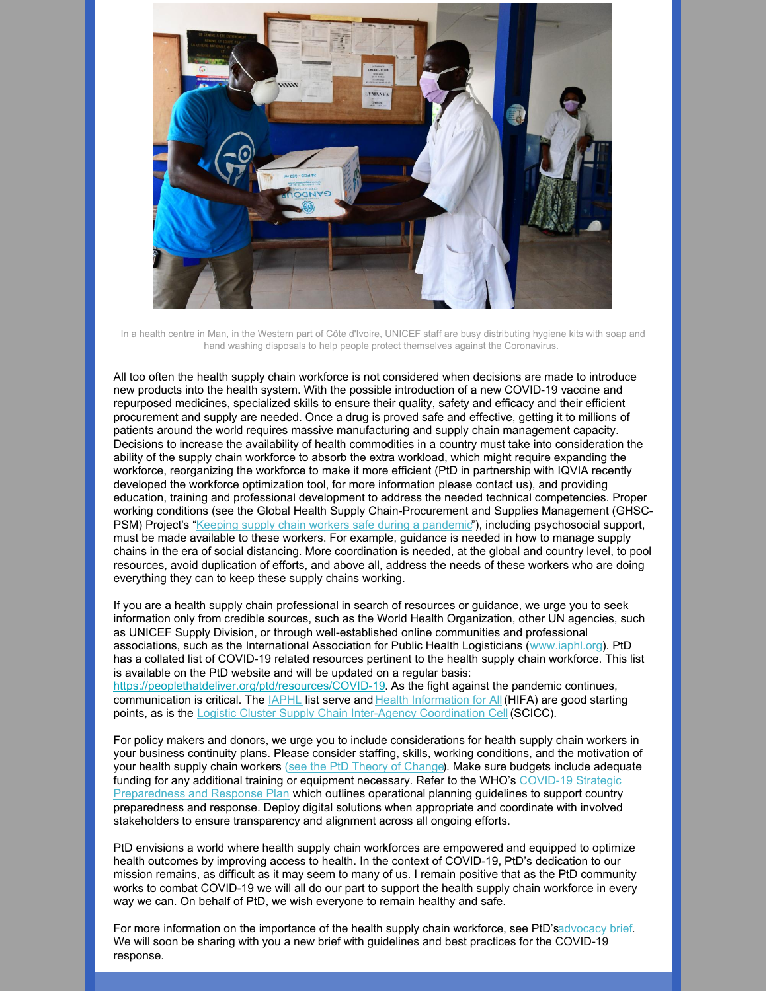

In a health centre in Man, in the Western part of Côte d'Ivoire, UNICEF staff are busy distributing hygiene kits with soap and hand washing disposals to help people protect themselves against the Coronavirus.

All too often the health supply chain workforce is not considered when decisions are made to introduce new products into the health system. With the possible introduction of a new COVID-19 vaccine and repurposed medicines, specialized skills to ensure their quality, safety and efficacy and their efficient procurement and supply are needed. Once a drug is proved safe and effective, getting it to millions of patients around the world requires massive manufacturing and supply chain management capacity. Decisions to increase the availability of health commodities in a country must take into consideration the ability of the supply chain workforce to absorb the extra workload, which might require expanding the workforce, reorganizing the workforce to make it more efficient (PtD in partnership with IQVIA recently developed the workforce optimization tool, for more information please contact us), and providing education, training and professional development to address the needed technical competencies. Proper working conditions (see the Global Health Supply Chain-Procurement and Supplies Management (GHSC-PSM) Project's "Keeping supply chain workers safe during a [pandemic](https://www.ghsupplychain.org/keeping-supply-chain-workers-safe-during-pandemic)"), including psychosocial support, must be made available to these workers. For example, guidance is needed in how to manage supply chains in the era of social distancing. More coordination is needed, at the global and country level, to pool resources, avoid duplication of efforts, and above all, address the needs of these workers who are doing everything they can to keep these supply chains working.

If you are a health supply chain professional in search of resources or guidance, we urge you to seek information only from credible sources, such as the World Health Organization, other UN agencies, such as UNICEF Supply Division, or through well-established online communities and professional associations, such as the International Association for Public Health Logisticians (www.iaphl.org). PtD has a collated list of COVID-19 related resources pertinent to the health supply chain workforce. This list is available on the PtD website and will be updated on a regular basis: <https://peoplethatdeliver.org/ptd/resources/COVID-19>. As the fight against the pandemic continues, communication is critical. The [IAPHL](http://www.iaphl.org/) list serve and Health [Information](https://www.hifa.org/news/coronavirus) for All (HIFA) are good starting points, as is the Logistic Cluster Supply Chain Inter-Agency [Coordination](https://logcluster.org/COVID-19) Cell (SCICC).

For policy makers and donors, we urge you to include considerations for health supply chain workers in your business continuity plans. Please consider staffing, skills, working conditions, and the motivation of your health supply chain workers (see the PtD Theory of [Change](https://peoplethatdeliver.org/ptd/resources/building-human-resources-supply-chain-management-theory-change)). Make sure budgets include adequate funding for any additional training or equipment necessary. Refer to the WHO's COVID-19 Strategic [Preparedness](https://www.preventionweb.net/files/71027_covid19sprpunctguidelines.pdf) and Response Plan which outlines operational planning guidelines to support country preparedness and response. Deploy digital solutions when appropriate and coordinate with involved stakeholders to ensure transparency and alignment across all ongoing efforts.

PtD envisions a world where health supply chain workforces are empowered and equipped to optimize health outcomes by improving access to health. In the context of COVID-19, PtD's dedication to our mission remains, as difficult as it may seem to many of us. I remain positive that as the PtD community works to combat COVID-19 we will all do our part to support the health supply chain workforce in every way we can. On behalf of PtD, we wish everyone to remain healthy and safe.

For more information on the importance of the health supply chain workforce, see PtD'[sadvocacy](https://peoplethatdeliver.org/ptd/sites/default/files/resources/PtD Advocacy Brief Final March 2020.pdf) brief. We will soon be sharing with you a new brief with guidelines and best practices for the COVID-19 response.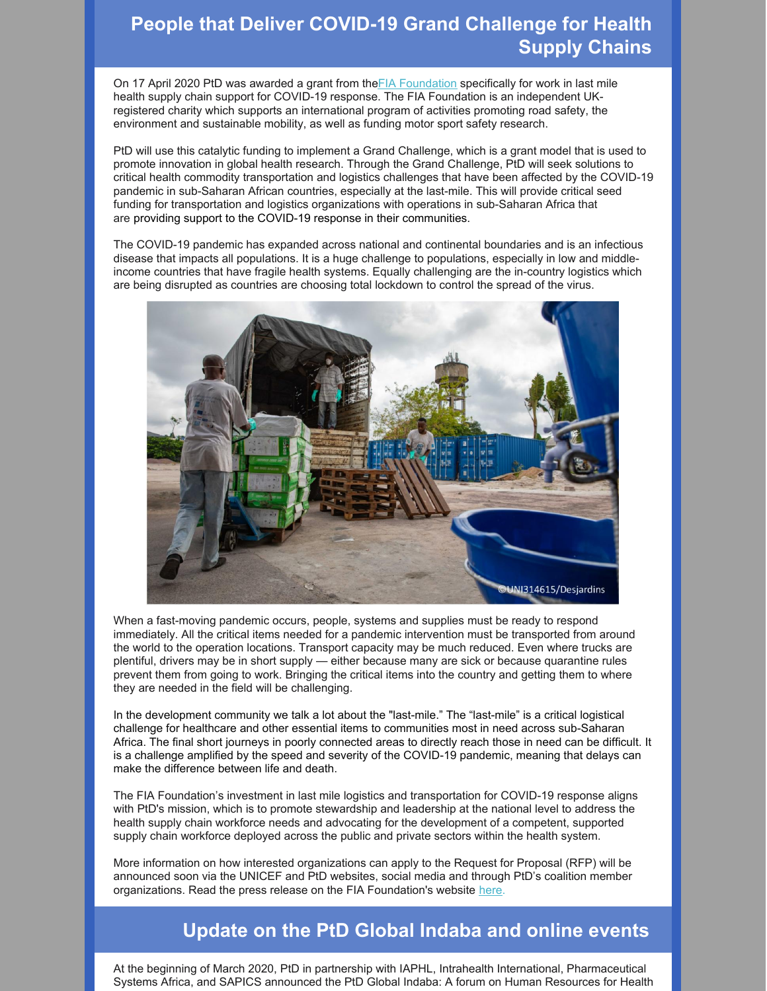## **People that Deliver COVID-19 Grand Challenge for Health Supply Chains**

On 17 April 2020 PtD was awarded a grant from the FIA [Foundation](https://www.fiafoundation.org/) specifically for work in last mile health supply chain support for COVID-19 response. The FIA Foundation is an independent UKregistered charity which supports an international program of activities promoting road safety, the environment and sustainable mobility, as well as funding motor sport safety research.

PtD will use this catalytic funding to implement a Grand Challenge, which is a grant model that is used to promote innovation in global health research. Through the Grand Challenge, PtD will seek solutions to critical health commodity transportation and logistics challenges that have been affected by the COVID-19 pandemic in sub-Saharan African countries, especially at the last-mile. This will provide critical seed funding for transportation and logistics organizations with operations in sub-Saharan Africa that are providing support to the COVID-19 response in their communities.

The COVID-19 pandemic has expanded across national and continental boundaries and is an infectious disease that impacts all populations. It is a huge challenge to populations, especially in low and middleincome countries that have fragile health systems. Equally challenging are the in-country logistics which are being disrupted as countries are choosing total lockdown to control the spread of the virus.



When a fast-moving pandemic occurs, people, systems and supplies must be ready to respond immediately. All the critical items needed for a pandemic intervention must be transported from around the world to the operation locations. Transport capacity may be much reduced. Even where trucks are plentiful, drivers may be in short supply — either because many are sick or because quarantine rules prevent them from going to work. Bringing the critical items into the country and getting them to where they are needed in the field will be challenging.

In the development community we talk a lot about the "last-mile." The "last-mile" is a critical logistical challenge for healthcare and other essential items to communities most in need across sub-Saharan Africa. The final short journeys in poorly connected areas to directly reach those in need can be difficult. It is a challenge amplified by the speed and severity of the COVID-19 pandemic, meaning that delays can make the difference between life and death.

The FIA Foundation's investment in last mile logistics and transportation for COVID-19 response aligns with PtD's mission, which is to promote stewardship and leadership at the national level to address the health supply chain workforce needs and advocating for the development of a competent, supported supply chain workforce deployed across the public and private sectors within the health system.

More information on how interested organizations can apply to the Request for Proposal (RFP) will be announced soon via the UNICEF and PtD websites, social media and through PtD's coalition member organizations. Read the press release on the FIA Foundation's website [here](https://www.fiafoundation.org/blog/2020/may/essential-covid-19-supply-chains-in-sub-saharan-africa-strengthened-by-new-funding).

### **Update on the PtD Global Indaba and online events**

At the beginning of March 2020, PtD in partnership with IAPHL, Intrahealth International, Pharmaceutical Systems Africa, and SAPICS announced the PtD Global Indaba: A forum on Human Resources for Health